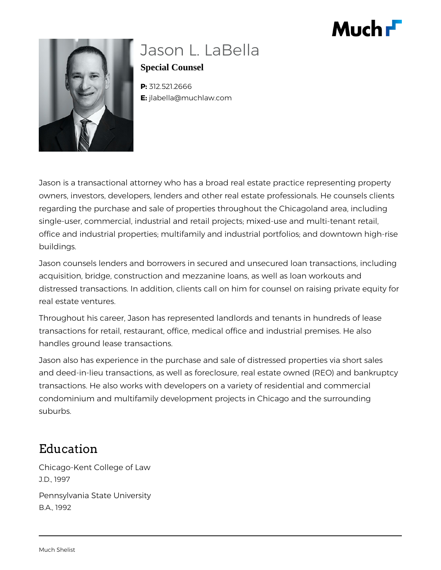



# Jason L. LaBella

**Special Counsel**

**P:** 312.521.2666 **E:** jlabella@muchlaw.com

Jason is a transactional attorney who has a broad real estate practice representing property owners, investors, developers, lenders and other real estate professionals. He counsels clients regarding the purchase and sale of properties throughout the Chicagoland area, including single-user, commercial, industrial and retail projects; mixed-use and multi-tenant retail, office and industrial properties; multifamily and industrial portfolios; and downtown high-rise buildings.

Jason counsels lenders and borrowers in secured and unsecured loan transactions, including acquisition, bridge, construction and mezzanine loans, as well as loan workouts and distressed transactions. In addition, clients call on him for counsel on raising private equity for real estate ventures.

Throughout his career, Jason has represented landlords and tenants in hundreds of lease transactions for retail, restaurant, office, medical office and industrial premises. He also handles ground lease transactions.

Jason also has experience in the purchase and sale of distressed properties via short sales and deed-in-lieu transactions, as well as foreclosure, real estate owned (REO) and bankruptcy transactions. He also works with developers on a variety of residential and commercial condominium and multifamily development projects in Chicago and the surrounding suburbs.

## Education

Chicago-Kent College of Law J.D., 1997 Pennsylvania State University B.A., 1992